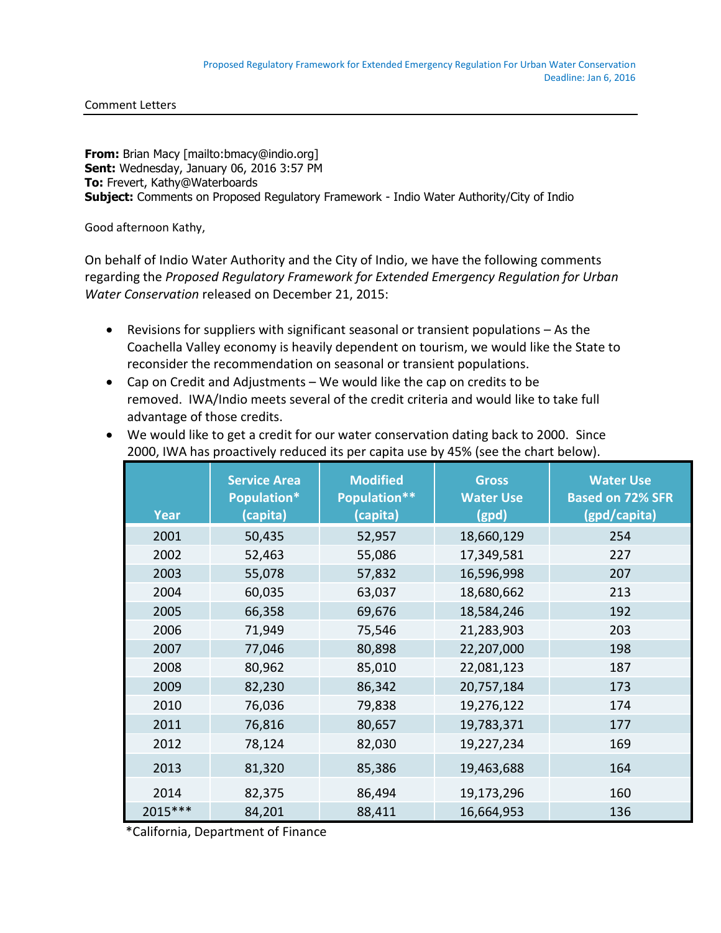**From:** Brian Macy [mailto:bmacy@indio.org] **Sent:** Wednesday, January 06, 2016 3:57 PM **To:** Frevert, Kathy@Waterboards **Subject:** Comments on Proposed Regulatory Framework - Indio Water Authority/City of Indio

Good afternoon Kathy,

On behalf of Indio Water Authority and the City of Indio, we have the following comments regarding the *Proposed Regulatory Framework for Extended Emergency Regulation for Urban Water Conservation* released on December 21, 2015:

- Revisions for suppliers with significant seasonal or transient populations As the Coachella Valley economy is heavily dependent on tourism, we would like the State to reconsider the recommendation on seasonal or transient populations.
- Cap on Credit and Adjustments We would like the cap on credits to be removed. IWA/Indio meets several of the credit criteria and would like to take full advantage of those credits.

| <b>Year</b> | <b>Service Area</b><br>Population*<br>(capita) | <b>Modified</b><br><b>Population**</b><br>(capita) | <b>Gross</b><br><b>Water Use</b><br>(gpd) | <b>Water Use</b><br><b>Based on 72% SFR</b><br>(gpd/capita) |
|-------------|------------------------------------------------|----------------------------------------------------|-------------------------------------------|-------------------------------------------------------------|
| 2001        | 50,435                                         | 52,957                                             | 18,660,129                                | 254                                                         |
| 2002        | 52,463                                         | 55,086                                             | 17,349,581                                | 227                                                         |
| 2003        | 55,078                                         | 57,832                                             | 16,596,998                                | 207                                                         |
| 2004        | 60,035                                         | 63,037                                             | 18,680,662                                | 213                                                         |
| 2005        | 66,358                                         | 69,676                                             | 18,584,246                                | 192                                                         |
| 2006        | 71,949                                         | 75,546                                             | 21,283,903                                | 203                                                         |
| 2007        | 77,046                                         | 80,898                                             | 22,207,000                                | 198                                                         |
| 2008        | 80,962                                         | 85,010                                             | 22,081,123                                | 187                                                         |
| 2009        | 82,230                                         | 86,342                                             | 20,757,184                                | 173                                                         |
| 2010        | 76,036                                         | 79,838                                             | 19,276,122                                | 174                                                         |
| 2011        | 76,816                                         | 80,657                                             | 19,783,371                                | 177                                                         |
| 2012        | 78,124                                         | 82,030                                             | 19,227,234                                | 169                                                         |
| 2013        | 81,320                                         | 85,386                                             | 19,463,688                                | 164                                                         |
| 2014        | 82,375                                         | 86,494                                             | 19,173,296                                | 160                                                         |
| 2015 ***    | 84,201                                         | 88,411                                             | 16,664,953                                | 136                                                         |

 We would like to get a credit for our water conservation dating back to 2000. Since 2000, IWA has proactively reduced its per capita use by 45% (see the chart below).

\*California, Department of Finance